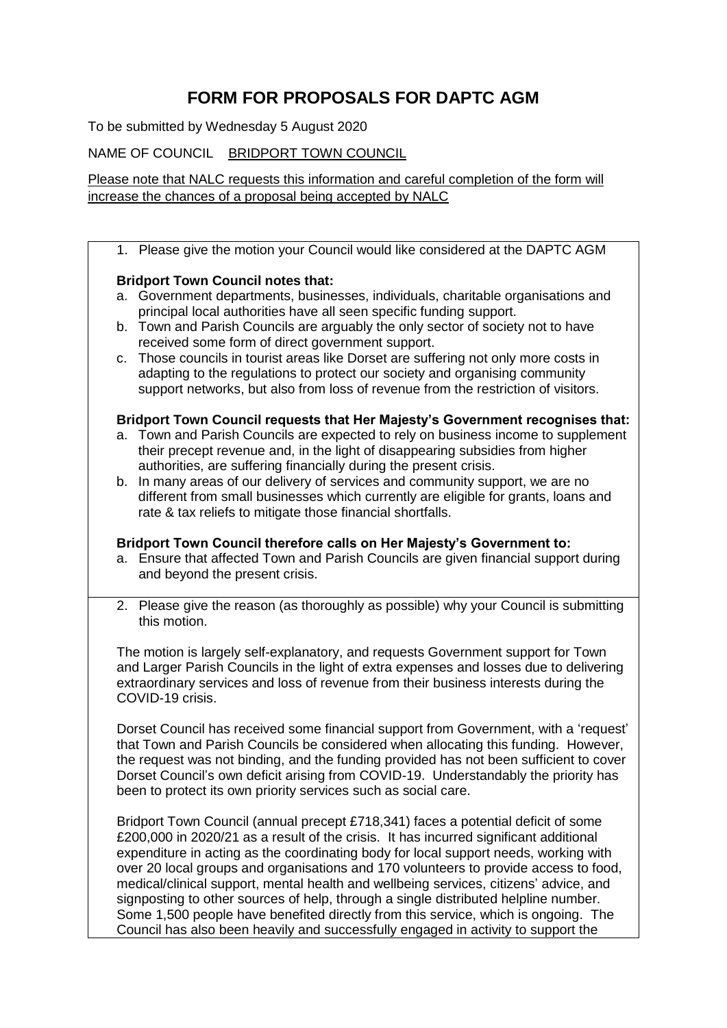# **FORM FOR PROPOSALS FOR DAPTC AGM**

To be submitted by Wednesday 5 August 2020

NAME OF COUNCIL BRIDPORT TOWN COUNCIL

Please note that NALC requests this information and careful completion of the form will increase the chances of a proposal being accepted by NALC

1. Please give the motion your Council would like considered at the DAPTC AGM

# **Bridport Town Council notes that:**

- a. Government departments, businesses, individuals, charitable organisations and principal local authorities have all seen specific funding support.
- b. Town and Parish Councils are arguably the only sector of society not to have received some form of direct government support.
- c. Those councils in tourist areas like Dorset are suffering not only more costs in adapting to the regulations to protect our society and organising community support networks, but also from loss of revenue from the restriction of visitors.

### **Bridport Town Council requests that Her Majesty's Government recognises that:**

- a. Town and Parish Councils are expected to rely on business income to supplement their precept revenue and, in the light of disappearing subsidies from higher authorities, are suffering financially during the present crisis.
- b. In many areas of our delivery of services and community support, we are no different from small businesses which currently are eligible for grants, loans and rate & tax reliefs to mitigate those financial shortfalls.

### **Bridport Town Council therefore calls on Her Majesty's Government to:**

- a. Ensure that affected Town and Parish Councils are given financial support during and beyond the present crisis.
- 2. Please give the reason (as thoroughly as possible) why your Council is submitting this motion.

The motion is largely self-explanatory, and requests Government support for Town and Larger Parish Councils in the light of extra expenses and losses due to delivering extraordinary services and loss of revenue from their business interests during the COVID-19 crisis.

Dorset Council has received some financial support from Government, with a 'request' that Town and Parish Councils be considered when allocating this funding. However, the request was not binding, and the funding provided has not been sufficient to cover Dorset Council's own deficit arising from COVID-19. Understandably the priority has been to protect its own priority services such as social care.

Bridport Town Council (annual precept £718,341) faces a potential deficit of some £200,000 in 2020/21 as a result of the crisis. It has incurred significant additional expenditure in acting as the coordinating body for local support needs, working with over 20 local groups and organisations and 170 volunteers to provide access to food, medical/clinical support, mental health and wellbeing services, citizens' advice, and signposting to other sources of help, through a single distributed helpline number. Some 1,500 people have benefited directly from this service, which is ongoing. The Council has also been heavily and successfully engaged in activity to support the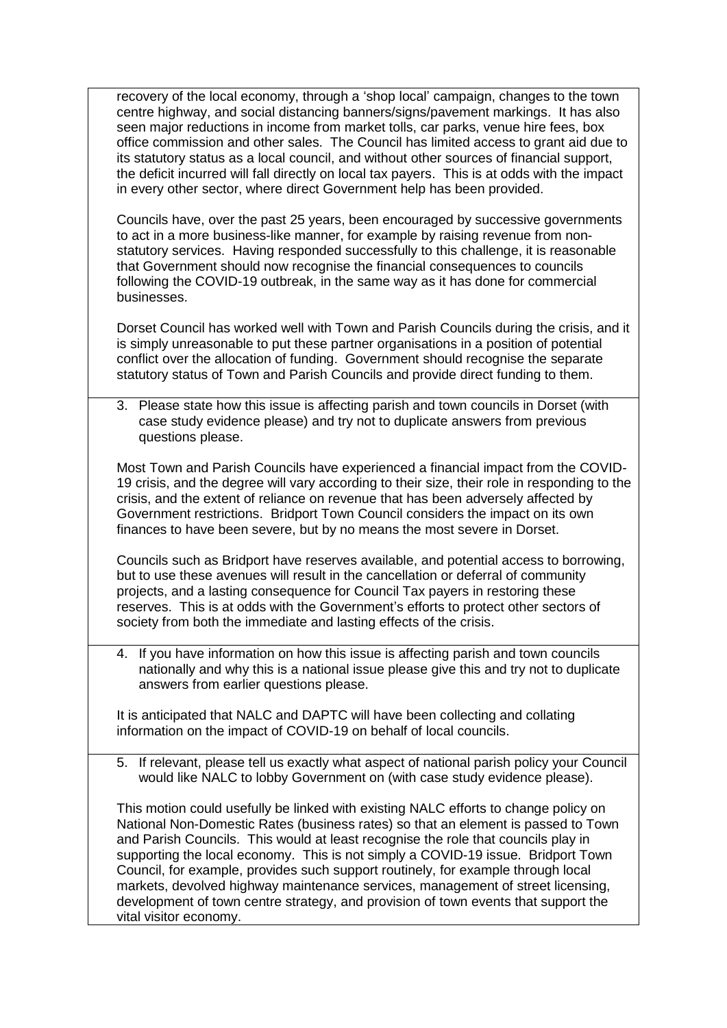recovery of the local economy, through a 'shop local' campaign, changes to the town centre highway, and social distancing banners/signs/pavement markings. It has also seen major reductions in income from market tolls, car parks, venue hire fees, box office commission and other sales. The Council has limited access to grant aid due to its statutory status as a local council, and without other sources of financial support, the deficit incurred will fall directly on local tax payers. This is at odds with the impact in every other sector, where direct Government help has been provided.

Councils have, over the past 25 years, been encouraged by successive governments to act in a more business-like manner, for example by raising revenue from nonstatutory services. Having responded successfully to this challenge, it is reasonable that Government should now recognise the financial consequences to councils following the COVID-19 outbreak, in the same way as it has done for commercial businesses.

Dorset Council has worked well with Town and Parish Councils during the crisis, and it is simply unreasonable to put these partner organisations in a position of potential conflict over the allocation of funding. Government should recognise the separate statutory status of Town and Parish Councils and provide direct funding to them.

3. Please state how this issue is affecting parish and town councils in Dorset (with case study evidence please) and try not to duplicate answers from previous questions please.

Most Town and Parish Councils have experienced a financial impact from the COVID-19 crisis, and the degree will vary according to their size, their role in responding to the crisis, and the extent of reliance on revenue that has been adversely affected by Government restrictions. Bridport Town Council considers the impact on its own finances to have been severe, but by no means the most severe in Dorset.

Councils such as Bridport have reserves available, and potential access to borrowing, but to use these avenues will result in the cancellation or deferral of community projects, and a lasting consequence for Council Tax payers in restoring these reserves. This is at odds with the Government's efforts to protect other sectors of society from both the immediate and lasting effects of the crisis.

4. If you have information on how this issue is affecting parish and town councils nationally and why this is a national issue please give this and try not to duplicate answers from earlier questions please.

It is anticipated that NALC and DAPTC will have been collecting and collating information on the impact of COVID-19 on behalf of local councils.

5. If relevant, please tell us exactly what aspect of national parish policy your Council would like NALC to lobby Government on (with case study evidence please).

This motion could usefully be linked with existing NALC efforts to change policy on National Non-Domestic Rates (business rates) so that an element is passed to Town and Parish Councils. This would at least recognise the role that councils play in supporting the local economy. This is not simply a COVID-19 issue. Bridport Town Council, for example, provides such support routinely, for example through local markets, devolved highway maintenance services, management of street licensing, development of town centre strategy, and provision of town events that support the vital visitor economy.